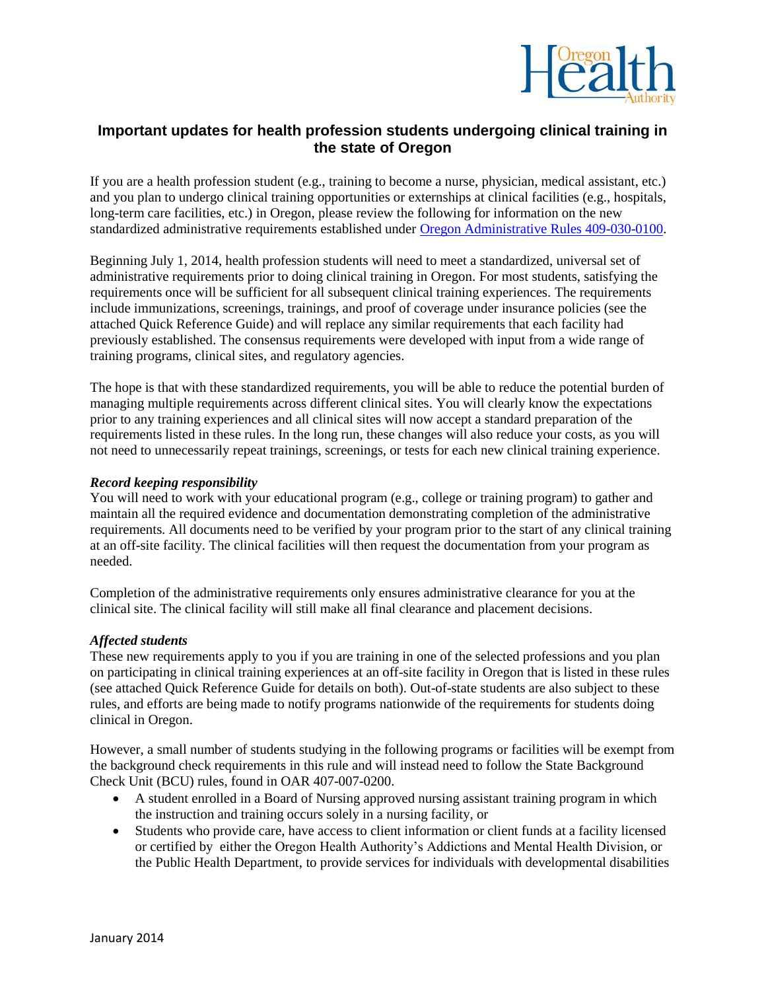

## **Important updates for health profession students undergoing clinical training in the state of Oregon**

If you are a health profession student (e.g., training to become a nurse, physician, medical assistant, etc.) and you plan to undergo clinical training opportunities or externships at clinical facilities (e.g., hospitals, long-term care facilities, etc.) in Oregon, please review the following for information on the new standardized administrative requirements established under [Oregon Administrative Rules 409-030-0100.](http://arcweb.sos.state.or.us/pages/rules/oars_400/oar_409/409_030.html)

Beginning July 1, 2014, health profession students will need to meet a standardized, universal set of administrative requirements prior to doing clinical training in Oregon. For most students, satisfying the requirements once will be sufficient for all subsequent clinical training experiences. The requirements include immunizations, screenings, trainings, and proof of coverage under insurance policies (see the attached Quick Reference Guide) and will replace any similar requirements that each facility had previously established. The consensus requirements were developed with input from a wide range of training programs, clinical sites, and regulatory agencies.

The hope is that with these standardized requirements, you will be able to reduce the potential burden of managing multiple requirements across different clinical sites. You will clearly know the expectations prior to any training experiences and all clinical sites will now accept a standard preparation of the requirements listed in these rules. In the long run, these changes will also reduce your costs, as you will not need to unnecessarily repeat trainings, screenings, or tests for each new clinical training experience.

## *Record keeping responsibility*

You will need to work with your educational program (e.g., college or training program) to gather and maintain all the required evidence and documentation demonstrating completion of the administrative requirements. All documents need to be verified by your program prior to the start of any clinical training at an off-site facility. The clinical facilities will then request the documentation from your program as needed.

Completion of the administrative requirements only ensures administrative clearance for you at the clinical site. The clinical facility will still make all final clearance and placement decisions.

## *Affected students*

These new requirements apply to you if you are training in one of the selected professions and you plan on participating in clinical training experiences at an off-site facility in Oregon that is listed in these rules (see attached Quick Reference Guide for details on both). Out-of-state students are also subject to these rules, and efforts are being made to notify programs nationwide of the requirements for students doing clinical in Oregon.

However, a small number of students studying in the following programs or facilities will be exempt from the background check requirements in this rule and will instead need to follow the State Background Check Unit (BCU) rules, found in OAR 407-007-0200.

- A student enrolled in a Board of Nursing approved nursing assistant training program in which the instruction and training occurs solely in a nursing facility, or
- Students who provide care, have access to client information or client funds at a facility licensed or certified by either the Oregon Health Authority's Addictions and Mental Health Division, or the Public Health Department, to provide services for individuals with developmental disabilities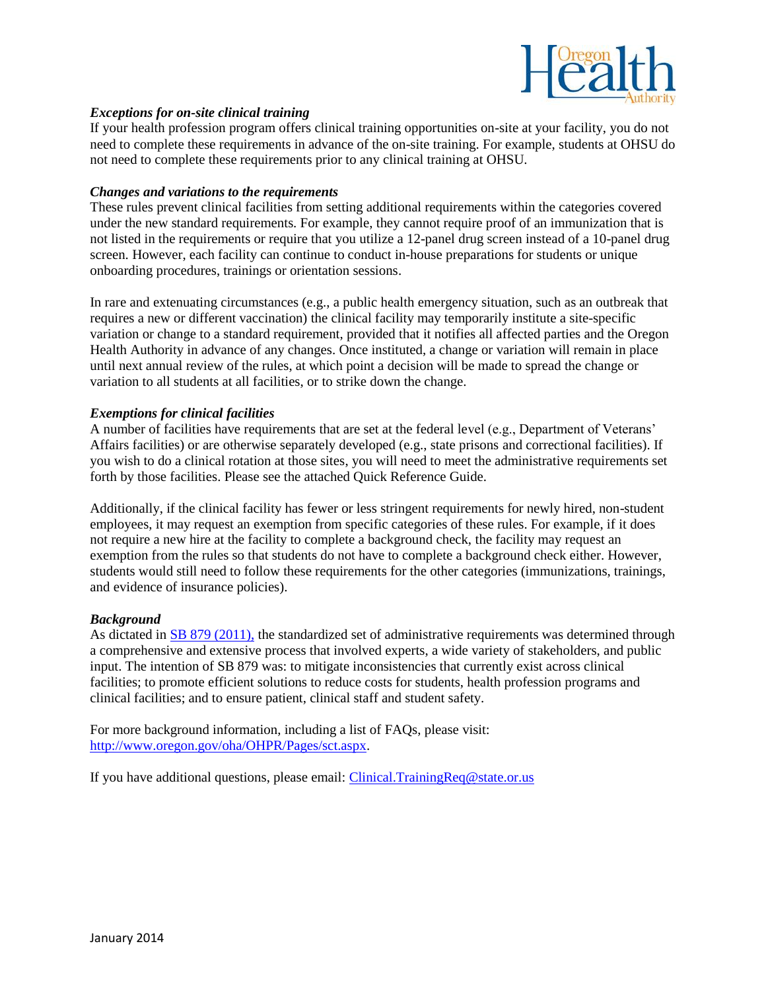

## *Exceptions for on-site clinical training*

If your health profession program offers clinical training opportunities on-site at your facility, you do not need to complete these requirements in advance of the on-site training. For example, students at OHSU do not need to complete these requirements prior to any clinical training at OHSU.

## *Changes and variations to the requirements*

These rules prevent clinical facilities from setting additional requirements within the categories covered under the new standard requirements. For example, they cannot require proof of an immunization that is not listed in the requirements or require that you utilize a 12-panel drug screen instead of a 10-panel drug screen. However, each facility can continue to conduct in-house preparations for students or unique onboarding procedures, trainings or orientation sessions.

In rare and extenuating circumstances (e.g., a public health emergency situation, such as an outbreak that requires a new or different vaccination) the clinical facility may temporarily institute a site-specific variation or change to a standard requirement, provided that it notifies all affected parties and the Oregon Health Authority in advance of any changes. Once instituted, a change or variation will remain in place until next annual review of the rules, at which point a decision will be made to spread the change or variation to all students at all facilities, or to strike down the change.

## *Exemptions for clinical facilities*

A number of facilities have requirements that are set at the federal level (e.g., Department of Veterans' Affairs facilities) or are otherwise separately developed (e.g., state prisons and correctional facilities). If you wish to do a clinical rotation at those sites, you will need to meet the administrative requirements set forth by those facilities. Please see the attached Quick Reference Guide.

Additionally, if the clinical facility has fewer or less stringent requirements for newly hired, non-student employees, it may request an exemption from specific categories of these rules. For example, if it does not require a new hire at the facility to complete a background check, the facility may request an exemption from the rules so that students do not have to complete a background check either. However, students would still need to follow these requirements for the other categories (immunizations, trainings, and evidence of insurance policies).

## *Background*

As dictated in [SB 879 \(2011\),](https://olis.leg.state.or.us/liz/2011R1/Measures/Text/SB879/Enrolled) the standardized set of administrative requirements was determined through a comprehensive and extensive process that involved experts, a wide variety of stakeholders, and public input. The intention of SB 879 was: to mitigate inconsistencies that currently exist across clinical facilities; to promote efficient solutions to reduce costs for students, health profession programs and clinical facilities; and to ensure patient, clinical staff and student safety.

For more background information, including a list of FAQs, please visit: [http://www.oregon.gov/oha/OHPR/Pages/sct.aspx.](http://www.oregon.gov/oha/OHPR/Pages/sct.aspx)

If you have additional questions, please email: [Clinical.TrainingReq@state.or.us](mailto:Clinical.TrainingReq@state.or.us)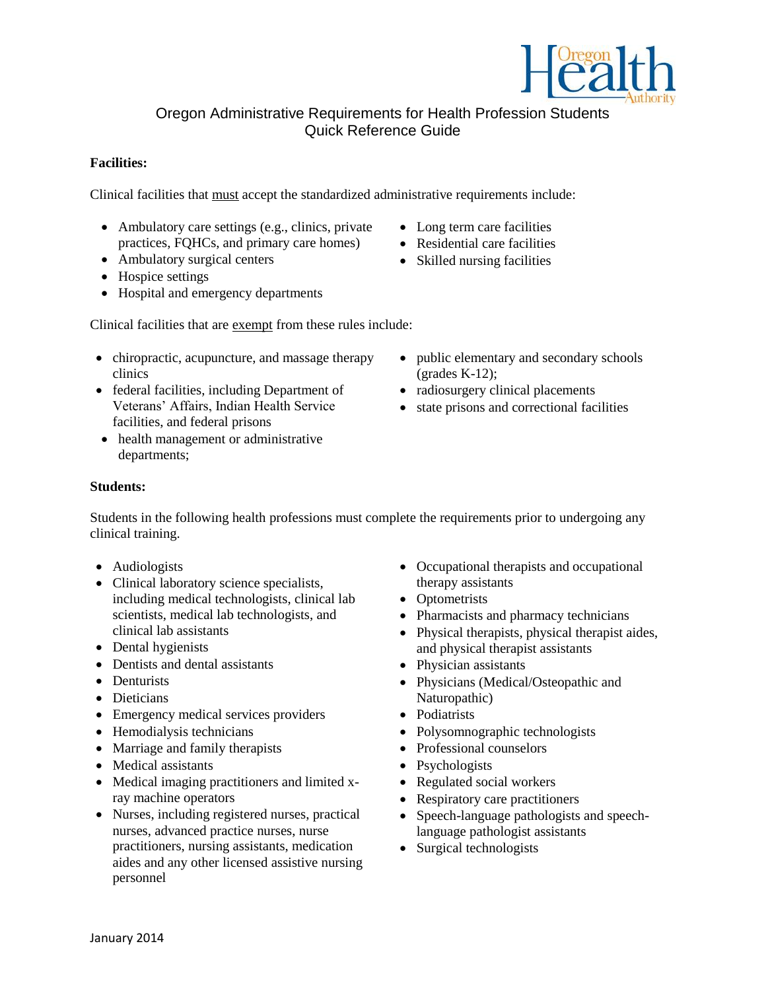

# Oregon Administrative Requirements for Health Profession Students Quick Reference Guide

## **Facilities:**

Clinical facilities that must accept the standardized administrative requirements include:

- Ambulatory care settings (e.g., clinics, private practices, FQHCs, and primary care homes)
- Ambulatory surgical centers
- Hospice settings
- Hospital and emergency departments

Clinical facilities that are exempt from these rules include:

- chiropractic, acupuncture, and massage therapy clinics
- federal facilities, including Department of Veterans' Affairs, Indian Health Service facilities, and federal prisons
- health management or administrative departments;
- **Students:**

Students in the following health professions must complete the requirements prior to undergoing any clinical training.

- Audiologists
- Clinical laboratory science specialists, including medical technologists, clinical lab scientists, medical lab technologists, and clinical lab assistants
- Dental hygienists
- Dentists and dental assistants
- Denturists
- Dieticians
- Emergency medical services providers
- Hemodialysis technicians
- Marriage and family therapists
- Medical assistants
- Medical imaging practitioners and limited xray machine operators
- Nurses, including registered nurses, practical nurses, advanced practice nurses, nurse practitioners, nursing assistants, medication aides and any other licensed assistive nursing personnel

• Occupational therapists and occupational therapy assistants

• public elementary and secondary schools

 radiosurgery clinical placements • state prisons and correctional facilities

- Optometrists
- Pharmacists and pharmacy technicians
- Physical therapists, physical therapist aides, and physical therapist assistants
- Physician assistants
- Physicians (Medical/Osteopathic and Naturopathic)
- Podiatrists
- Polysomnographic technologists
- Professional counselors
- Psychologists
- Regulated social workers
- Respiratory care practitioners
- Speech-language pathologists and speechlanguage pathologist assistants
- Surgical technologists
- Long term care facilities • Residential care facilities
- Skilled nursing facilities

 $\text{(grades K-12)}$ ;